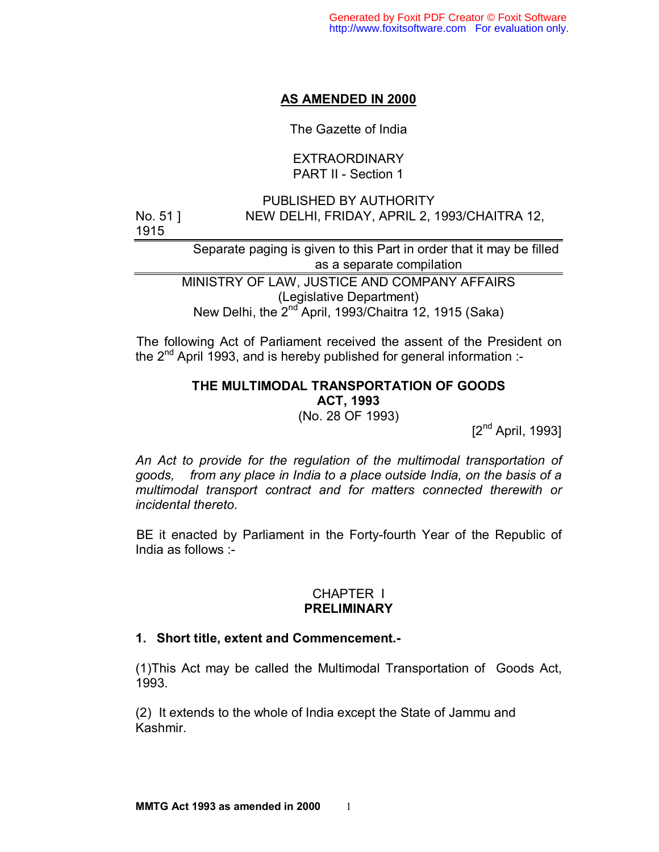# **AS AMENDED IN 2000**

The Gazette of India

## EXTRAORDINARY PART II - Section 1

PUBLISHED BY AUTHORITY No. 51 ] NEW DELHI, FRIDAY, APRIL 2, 1993/CHAITRA 12, 1915

> Separate paging is given to this Part in order that it may be filled as a separate compilation

MINISTRY OF LAW, JUSTICE AND COMPANY AFFAIRS (Legislative Department) New Delhi, the 2<sup>nd</sup> April, 1993/Chaitra 12, 1915 (Saka)

 The following Act of Parliament received the assent of the President on the  $2^{nd}$  April 1993, and is hereby published for general information :-

# **THE MULTIMODAL TRANSPORTATION OF GOODS ACT, 1993**

(No. 28 OF 1993)

 $[2^{nd}$  April, 1993]

*An Act to provide for the regulation of the multimodal transportation of goods, from any place in India to a place outside India, on the basis of a multimodal transport contract and for matters connected therewith or incidental thereto.* 

 BE it enacted by Parliament in the Forty-fourth Year of the Republic of India as follows :-

## CHAPTER I **PRELIMINARY**

## **1. Short title, extent and Commencement.-**

(1)This Act may be called the Multimodal Transportation of Goods Act, 1993.

(2) It extends to the whole of India except the State of Jammu and Kashmir.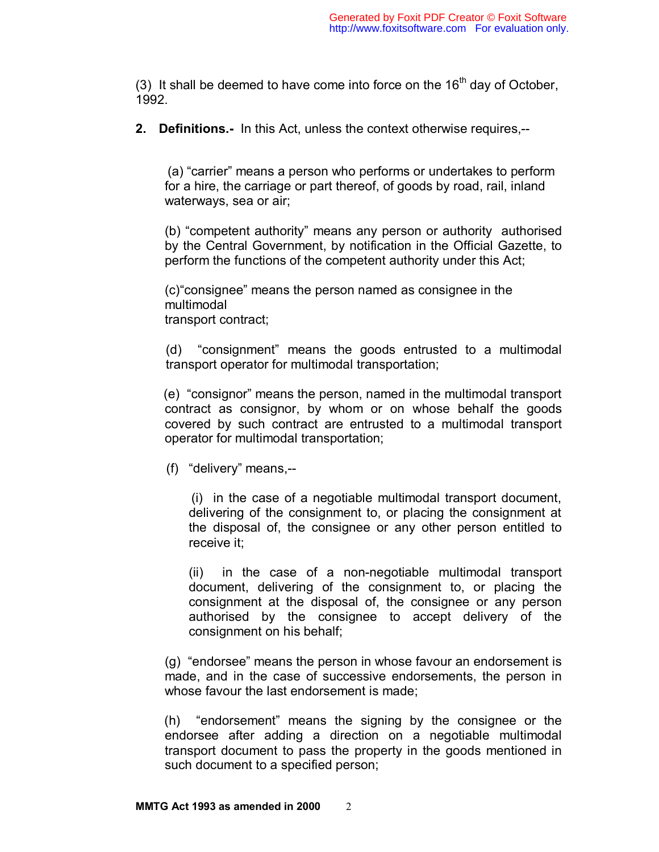(3) It shall be deemed to have come into force on the  $16<sup>th</sup>$  day of October, 1992.

**2. Definitions.-** In this Act, unless the context otherwise requires,--

(a) "carrier" means a person who performs or undertakes to perform for a hire, the carriage or part thereof, of goods by road, rail, inland waterways, sea or air;

(b) "competent authority" means any person or authority authorised by the Central Government, by notification in the Official Gazette, to perform the functions of the competent authority under this Act;

(c) "consignee" means the person named as consignee in the multimodal transport contract;

(d) "consignment" means the goods entrusted to a multimodal transport operator for multimodal transportation;

(e) "consignor" means the person, named in the multimodal transport contract as consignor, by whom or on whose behalf the goods covered by such contract are entrusted to a multimodal transport operator for multimodal transportation;

(f) "delivery" means,--

(i) in the case of a negotiable multimodal transport document, delivering of the consignment to, or placing the consignment at the disposal of, the consignee or any other person entitled to receive it;

(ii) in the case of a non-negotiable multimodal transport document, delivering of the consignment to, or placing the consignment at the disposal of, the consignee or any person authorised by the consignee to accept delivery of the consignment on his behalf;

(g) "endorsee" means the person in whose favour an endorsement is made, and in the case of successive endorsements, the person in whose favour the last endorsement is made;

 (h) "endorsement" means the signing by the consignee or the endorsee after adding a direction on a negotiable multimodal transport document to pass the property in the goods mentioned in such document to a specified person;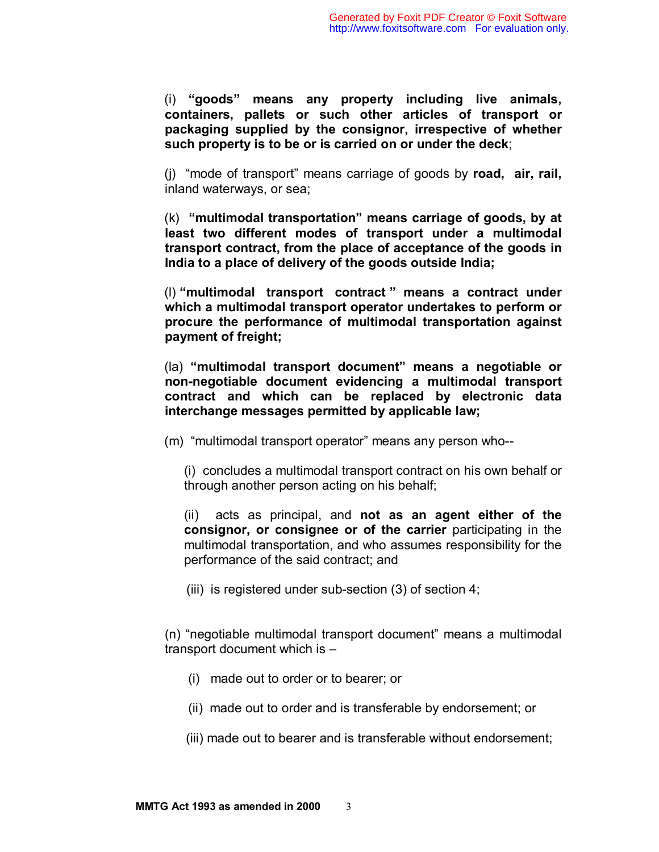(i) **"goods" means any property including live animals, containers, pallets or such other articles of transport or packaging supplied by the consignor, irrespective of whether such property is to be or is carried on or under the deck**;

 (j) "mode of transport" means carriage of goods by **road, air, rail,** inland waterways, or sea;

 (k) **"multimodal transportation" means carriage of goods, by at least two different modes of transport under a multimodal transport contract, from the place of acceptance of the goods in India to a place of delivery of the goods outside India;** 

 (l) **"multimodal transport contract " means a contract under which a multimodal transport operator undertakes to perform or procure the performance of multimodal transportation against payment of freight;**

 (la) **"multimodal transport document" means a negotiable or non-negotiable document evidencing a multimodal transport contract and which can be replaced by electronic data interchange messages permitted by applicable law;**

(m) "multimodal transport operator" means any person who--

(i) concludes a multimodal transport contract on his own behalf or through another person acting on his behalf;

(ii) acts as principal, and **not as an agent either of the consignor, or consignee or of the carrier** participating in the multimodal transportation, and who assumes responsibility for the performance of the said contract; and

(iii) is registered under sub-section (3) of section 4;

(n) "negotiable multimodal transport document" means a multimodal transport document which is –

- (i) made out to order or to bearer; or
- (ii) made out to order and is transferable by endorsement; or
- (iii) made out to bearer and is transferable without endorsement;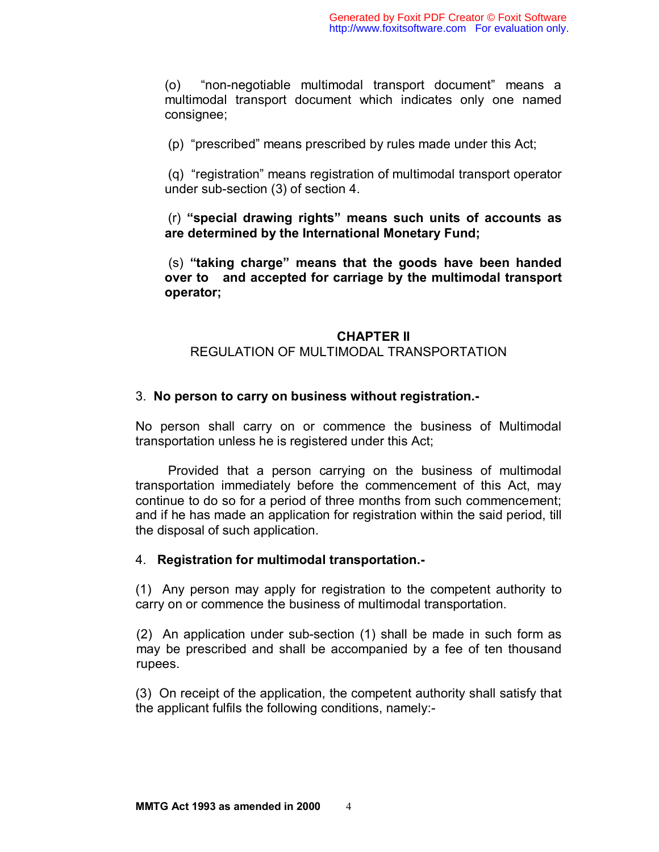(o) "non-negotiable multimodal transport document" means a multimodal transport document which indicates only one named consignee;

(p) "prescribed" means prescribed by rules made under this Act;

 (q) "registration" means registration of multimodal transport operator under sub-section (3) of section 4.

 (r) **"special drawing rights" means such units of accounts as are determined by the International Monetary Fund;** 

 (s) **"taking charge" means that the goods have been handed over to and accepted for carriage by the multimodal transport operator;** 

#### **CHAPTER II**

#### REGULATION OF MULTIMODAL TRANSPORTATION

#### 3. **No person to carry on business without registration.-**

No person shall carry on or commence the business of Multimodal transportation unless he is registered under this Act;

 Provided that a person carrying on the business of multimodal transportation immediately before the commencement of this Act, may continue to do so for a period of three months from such commencement; and if he has made an application for registration within the said period, till the disposal of such application.

#### 4. **Registration for multimodal transportation.-**

(1) Any person may apply for registration to the competent authority to carry on or commence the business of multimodal transportation.

(2) An application under sub-section (1) shall be made in such form as may be prescribed and shall be accompanied by a fee of ten thousand rupees.

(3) On receipt of the application, the competent authority shall satisfy that the applicant fulfils the following conditions, namely:-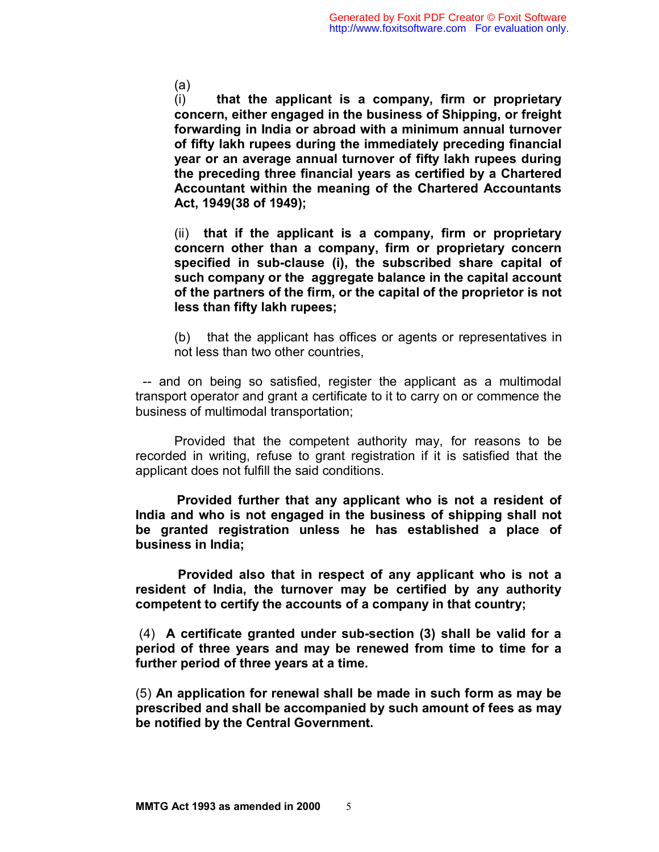(a)

(i) **that the applicant is a company, firm or proprietary concern, either engaged in the business of Shipping, or freight forwarding in India or abroad with a minimum annual turnover of fifty lakh rupees during the immediately preceding financial year or an average annual turnover of fifty lakh rupees during the preceding three financial years as certified by a Chartered Accountant within the meaning of the Chartered Accountants Act, 1949(38 of 1949);**

(ii) **that if the applicant is a company, firm or proprietary concern other than a company, firm or proprietary concern specified in sub-clause (i), the subscribed share capital of such company or the aggregate balance in the capital account of the partners of the firm, or the capital of the proprietor is not less than fifty lakh rupees;**

(b) that the applicant has offices or agents or representatives in not less than two other countries,

 -- and on being so satisfied, register the applicant as a multimodal transport operator and grant a certificate to it to carry on or commence the business of multimodal transportation;

Provided that the competent authority may, for reasons to be recorded in writing, refuse to grant registration if it is satisfied that the applicant does not fulfill the said conditions.

**Provided further that any applicant who is not a resident of India and who is not engaged in the business of shipping shall not be granted registration unless he has established a place of business in India;** 

**Provided also that in respect of any applicant who is not a resident of India, the turnover may be certified by any authority competent to certify the accounts of a company in that country;** 

 (4) **A certificate granted under sub-section (3) shall be valid for a period of three years and may be renewed from time to time for a further period of three years at a time.** 

(5) **An application for renewal shall be made in such form as may be prescribed and shall be accompanied by such amount of fees as may be notified by the Central Government.**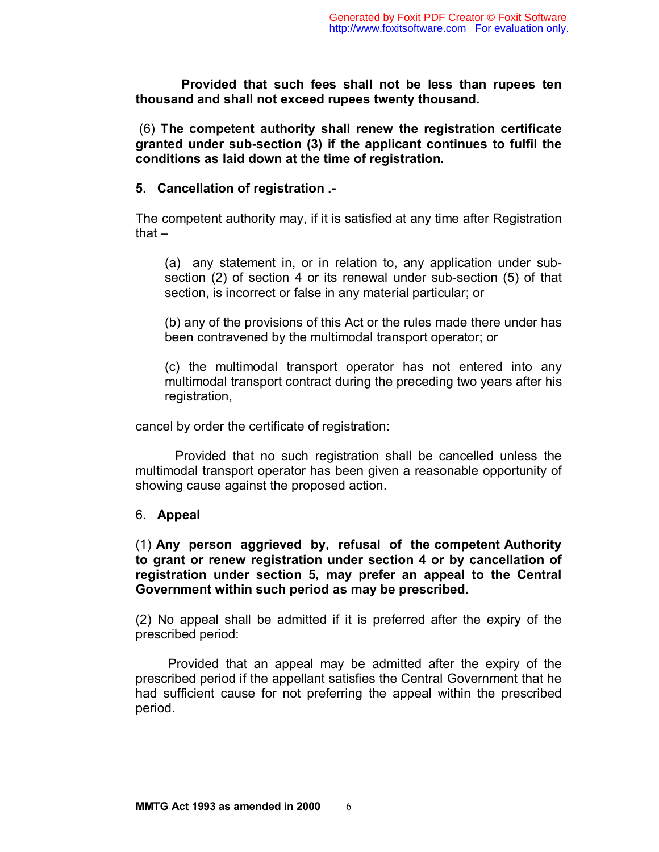**Provided that such fees shall not be less than rupees ten thousand and shall not exceed rupees twenty thousand.** 

 (6) **The competent authority shall renew the registration certificate granted under sub-section (3) if the applicant continues to fulfil the conditions as laid down at the time of registration.** 

## **5. Cancellation of registration .-**

The competent authority may, if it is satisfied at any time after Registration that –

(a) any statement in, or in relation to, any application under subsection (2) of section 4 or its renewal under sub-section (5) of that section, is incorrect or false in any material particular; or

(b) any of the provisions of this Act or the rules made there under has been contravened by the multimodal transport operator; or

(c) the multimodal transport operator has not entered into any multimodal transport contract during the preceding two years after his registration,

cancel by order the certificate of registration:

 Provided that no such registration shall be cancelled unless the multimodal transport operator has been given a reasonable opportunity of showing cause against the proposed action.

## 6. **Appeal**

(1) **Any person aggrieved by, refusal of the competent Authority to grant or renew registration under section 4 or by cancellation of registration under section 5, may prefer an appeal to the Central Government within such period as may be prescribed.**

(2) No appeal shall be admitted if it is preferred after the expiry of the prescribed period:

 Provided that an appeal may be admitted after the expiry of the prescribed period if the appellant satisfies the Central Government that he had sufficient cause for not preferring the appeal within the prescribed period.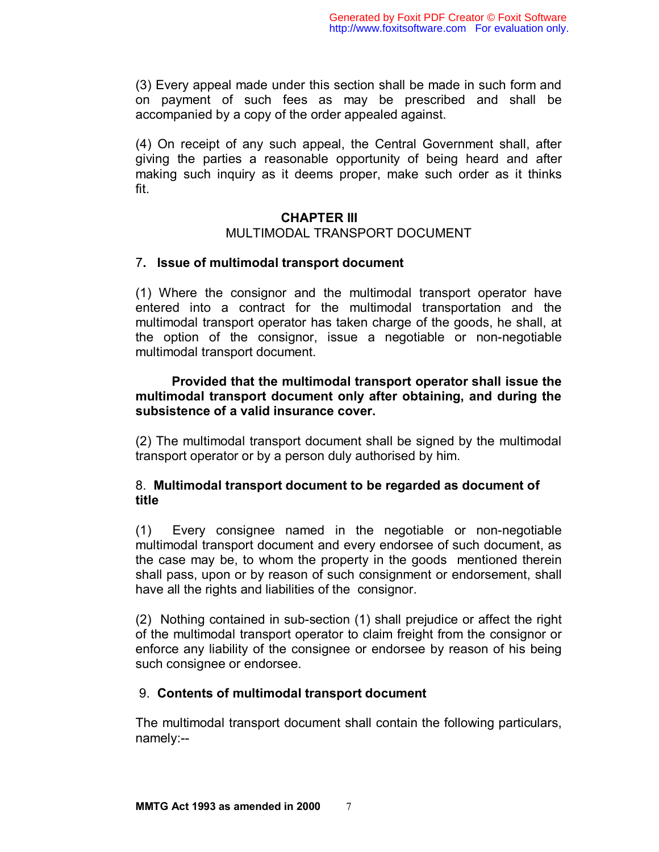(3) Every appeal made under this section shall be made in such form and on payment of such fees as may be prescribed and shall be accompanied by a copy of the order appealed against.

(4) On receipt of any such appeal, the Central Government shall, after giving the parties a reasonable opportunity of being heard and after making such inquiry as it deems proper, make such order as it thinks fit.

# **CHAPTER III**  MULTIMODAL TRANSPORT DOCUMENT

## 7**. Issue of multimodal transport document**

(1) Where the consignor and the multimodal transport operator have entered into a contract for the multimodal transportation and the multimodal transport operator has taken charge of the goods, he shall, at the option of the consignor, issue a negotiable or non-negotiable multimodal transport document.

# **Provided that the multimodal transport operator shall issue the multimodal transport document only after obtaining, and during the subsistence of a valid insurance cover.**

(2) The multimodal transport document shall be signed by the multimodal transport operator or by a person duly authorised by him.

# 8. **Multimodal transport document to be regarded as document of title**

(1) Every consignee named in the negotiable or non-negotiable multimodal transport document and every endorsee of such document, as the case may be, to whom the property in the goods mentioned therein shall pass, upon or by reason of such consignment or endorsement, shall have all the rights and liabilities of the consignor.

(2) Nothing contained in sub-section (1) shall prejudice or affect the right of the multimodal transport operator to claim freight from the consignor or enforce any liability of the consignee or endorsee by reason of his being such consignee or endorsee.

# 9. **Contents of multimodal transport document**

The multimodal transport document shall contain the following particulars, namely:--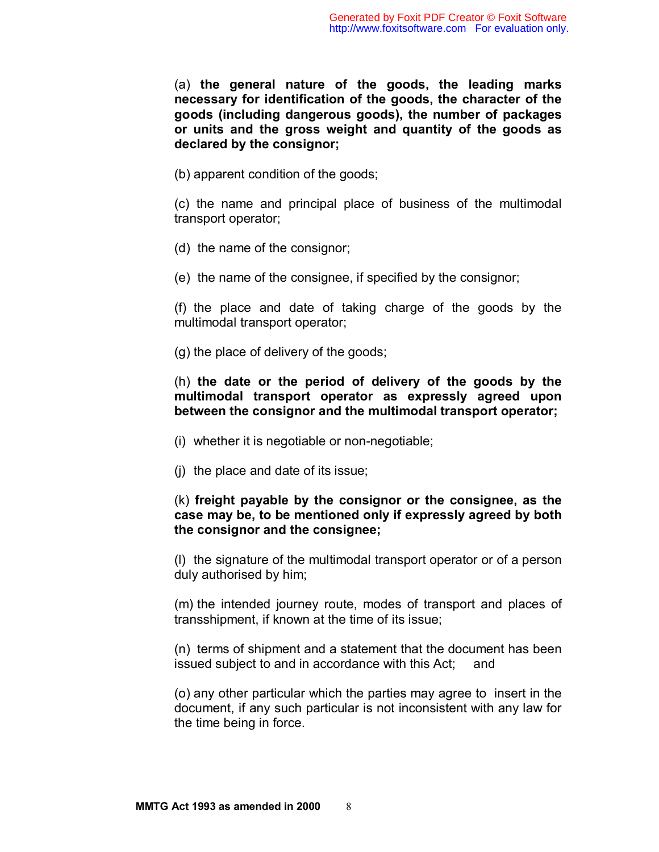(a) **the general nature of the goods, the leading marks necessary for identification of the goods, the character of the goods (including dangerous goods), the number of packages or units and the gross weight and quantity of the goods as declared by the consignor;** 

(b) apparent condition of the goods;

(c) the name and principal place of business of the multimodal transport operator;

- (d) the name of the consignor;
- (e) the name of the consignee, if specified by the consignor;

(f) the place and date of taking charge of the goods by the multimodal transport operator;

(g) the place of delivery of the goods;

(h) **the date or the period of delivery of the goods by the multimodal transport operator as expressly agreed upon between the consignor and the multimodal transport operator;** 

- (i) whether it is negotiable or non-negotiable;
- (j) the place and date of its issue;

## (k) **freight payable by the consignor or the consignee, as the case may be, to be mentioned only if expressly agreed by both the consignor and the consignee;**

(l) the signature of the multimodal transport operator or of a person duly authorised by him;

(m) the intended journey route, modes of transport and places of transshipment, if known at the time of its issue;

(n) terms of shipment and a statement that the document has been issued subject to and in accordance with this Act; and

(o) any other particular which the parties may agree to insert in the document, if any such particular is not inconsistent with any law for the time being in force.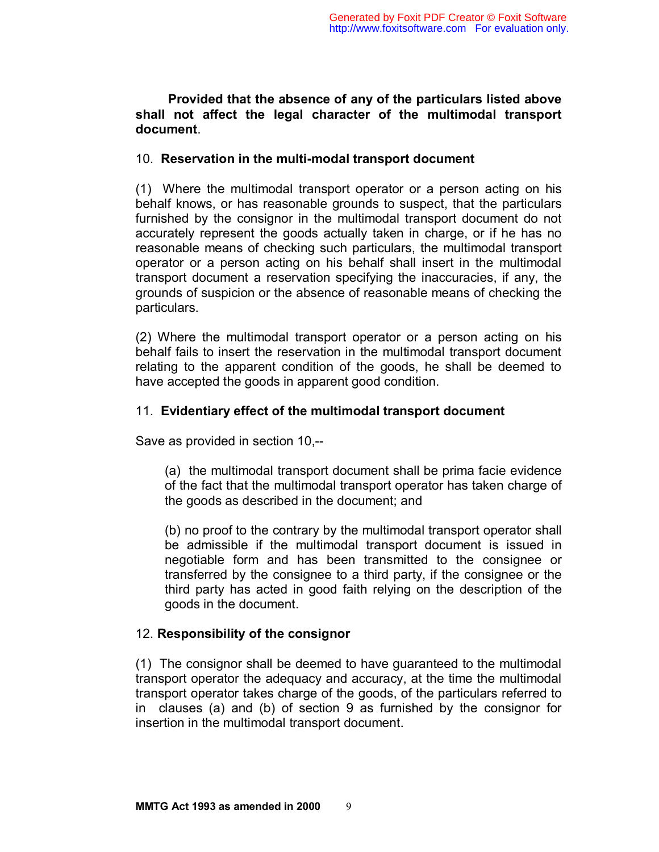## **Provided that the absence of any of the particulars listed above shall not affect the legal character of the multimodal transport document**.

## 10. **Reservation in the multi-modal transport document**

(1) Where the multimodal transport operator or a person acting on his behalf knows, or has reasonable grounds to suspect, that the particulars furnished by the consignor in the multimodal transport document do not accurately represent the goods actually taken in charge, or if he has no reasonable means of checking such particulars, the multimodal transport operator or a person acting on his behalf shall insert in the multimodal transport document a reservation specifying the inaccuracies, if any, the grounds of suspicion or the absence of reasonable means of checking the particulars.

(2) Where the multimodal transport operator or a person acting on his behalf fails to insert the reservation in the multimodal transport document relating to the apparent condition of the goods, he shall be deemed to have accepted the goods in apparent good condition.

# 11. **Evidentiary effect of the multimodal transport document**

Save as provided in section 10,--

(a) the multimodal transport document shall be prima facie evidence of the fact that the multimodal transport operator has taken charge of the goods as described in the document; and

(b) no proof to the contrary by the multimodal transport operator shall be admissible if the multimodal transport document is issued in negotiable form and has been transmitted to the consignee or transferred by the consignee to a third party, if the consignee or the third party has acted in good faith relying on the description of the goods in the document.

# 12. **Responsibility of the consignor**

(1) The consignor shall be deemed to have guaranteed to the multimodal transport operator the adequacy and accuracy, at the time the multimodal transport operator takes charge of the goods, of the particulars referred to in clauses (a) and (b) of section 9 as furnished by the consignor for insertion in the multimodal transport document.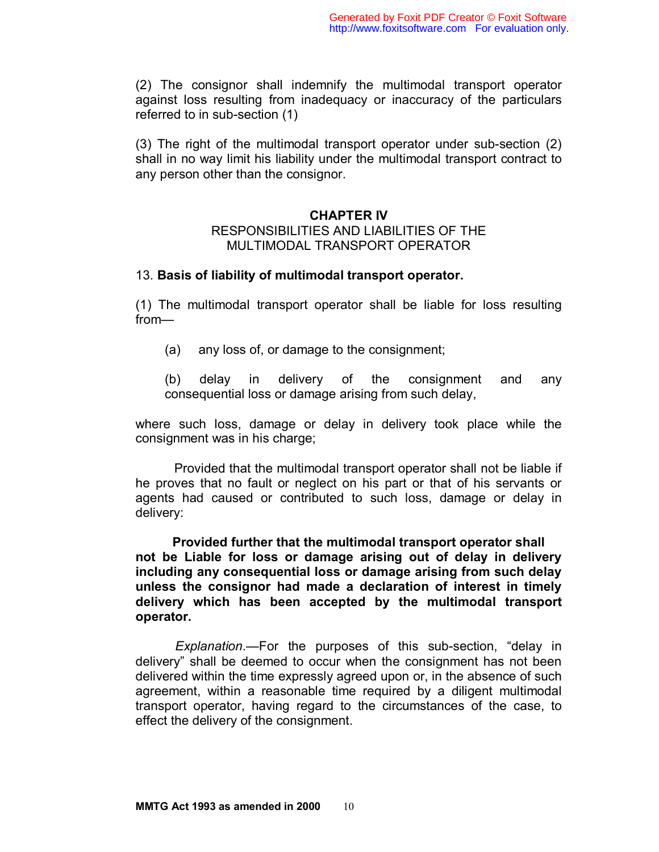(2) The consignor shall indemnify the multimodal transport operator against loss resulting from inadequacy or inaccuracy of the particulars referred to in sub-section (1)

(3) The right of the multimodal transport operator under sub-section (2) shall in no way limit his liability under the multimodal transport contract to any person other than the consignor.

### **CHAPTER IV**

### RESPONSIBILITIES AND LIABILITIES OF THE MULTIMODAL TRANSPORT OPERATOR

### 13. **Basis of liability of multimodal transport operator.**

(1) The multimodal transport operator shall be liable for loss resulting from—

(a) any loss of, or damage to the consignment;

(b) delay in delivery of the consignment and any consequential loss or damage arising from such delay,

where such loss, damage or delay in delivery took place while the consignment was in his charge;

 Provided that the multimodal transport operator shall not be liable if he proves that no fault or neglect on his part or that of his servants or agents had caused or contributed to such loss, damage or delay in delivery:

 **Provided further that the multimodal transport operator shall not be Liable for loss or damage arising out of delay in delivery including any consequential loss or damage arising from such delay unless the consignor had made a declaration of interest in timely delivery which has been accepted by the multimodal transport operator.** 

 *Explanation*.—For the purposes of this sub-section, "delay in delivery" shall be deemed to occur when the consignment has not been delivered within the time expressly agreed upon or, in the absence of such agreement, within a reasonable time required by a diligent multimodal transport operator, having regard to the circumstances of the case, to effect the delivery of the consignment.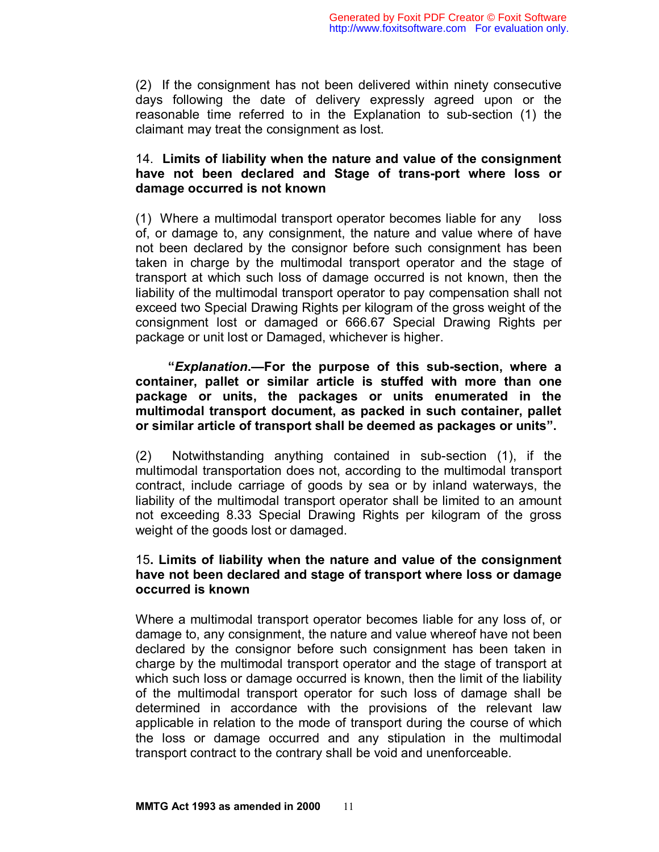(2) If the consignment has not been delivered within ninety consecutive days following the date of delivery expressly agreed upon or the reasonable time referred to in the Explanation to sub-section (1) the claimant may treat the consignment as lost.

# 14. **Limits of liability when the nature and value of the consignment have not been declared and Stage of trans-port where loss or damage occurred is not known**

(1) Where a multimodal transport operator becomes liable for any loss of, or damage to, any consignment, the nature and value where of have not been declared by the consignor before such consignment has been taken in charge by the multimodal transport operator and the stage of transport at which such loss of damage occurred is not known, then the liability of the multimodal transport operator to pay compensation shall not exceed two Special Drawing Rights per kilogram of the gross weight of the consignment lost or damaged or 666.67 Special Drawing Rights per package or unit lost or Damaged, whichever is higher.

 **"***Explanation***.—For the purpose of this sub-section, where a container, pallet or similar article is stuffed with more than one package or units, the packages or units enumerated in the multimodal transport document, as packed in such container, pallet or similar article of transport shall be deemed as packages or units".** 

(2) Notwithstanding anything contained in sub-section (1), if the multimodal transportation does not, according to the multimodal transport contract, include carriage of goods by sea or by inland waterways, the liability of the multimodal transport operator shall be limited to an amount not exceeding 8.33 Special Drawing Rights per kilogram of the gross weight of the goods lost or damaged.

# 15**. Limits of liability when the nature and value of the consignment have not been declared and stage of transport where loss or damage occurred is known**

Where a multimodal transport operator becomes liable for any loss of, or damage to, any consignment, the nature and value whereof have not been declared by the consignor before such consignment has been taken in charge by the multimodal transport operator and the stage of transport at which such loss or damage occurred is known, then the limit of the liability of the multimodal transport operator for such loss of damage shall be determined in accordance with the provisions of the relevant law applicable in relation to the mode of transport during the course of which the loss or damage occurred and any stipulation in the multimodal transport contract to the contrary shall be void and unenforceable.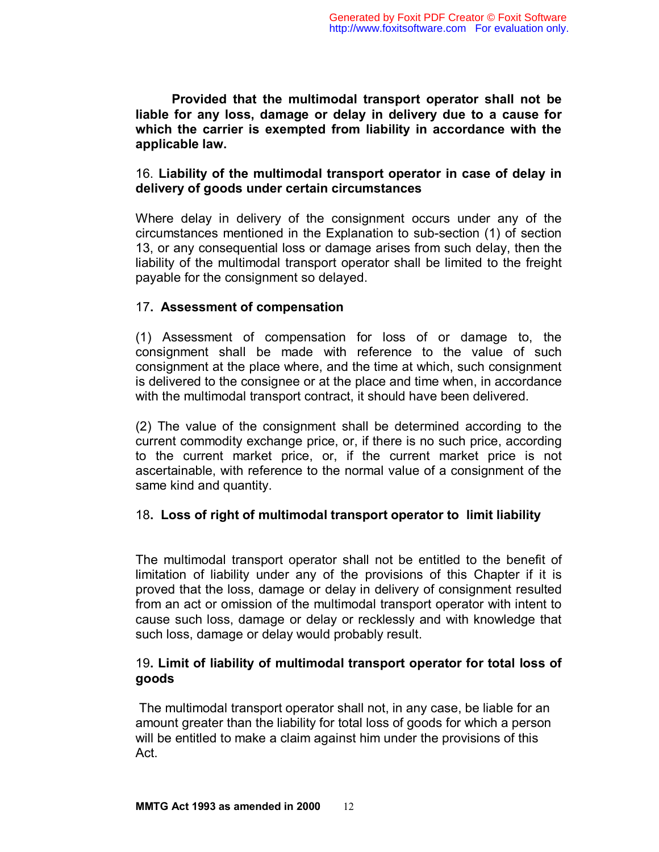**Provided that the multimodal transport operator shall not be liable for any loss, damage or delay in delivery due to a cause for which the carrier is exempted from liability in accordance with the applicable law.** 

# 16. **Liability of the multimodal transport operator in case of delay in delivery of goods under certain circumstances**

Where delay in delivery of the consignment occurs under any of the circumstances mentioned in the Explanation to sub-section (1) of section 13, or any consequential loss or damage arises from such delay, then the liability of the multimodal transport operator shall be limited to the freight payable for the consignment so delayed.

# 17**. Assessment of compensation**

(1) Assessment of compensation for loss of or damage to, the consignment shall be made with reference to the value of such consignment at the place where, and the time at which, such consignment is delivered to the consignee or at the place and time when, in accordance with the multimodal transport contract, it should have been delivered.

(2) The value of the consignment shall be determined according to the current commodity exchange price, or, if there is no such price, according to the current market price, or, if the current market price is not ascertainable, with reference to the normal value of a consignment of the same kind and quantity.

## 18**. Loss of right of multimodal transport operator to limit liability**

The multimodal transport operator shall not be entitled to the benefit of limitation of liability under any of the provisions of this Chapter if it is proved that the loss, damage or delay in delivery of consignment resulted from an act or omission of the multimodal transport operator with intent to cause such loss, damage or delay or recklessly and with knowledge that such loss, damage or delay would probably result.

# 19**. Limit of liability of multimodal transport operator for total loss of goods**

 The multimodal transport operator shall not, in any case, be liable for an amount greater than the liability for total loss of goods for which a person will be entitled to make a claim against him under the provisions of this Act.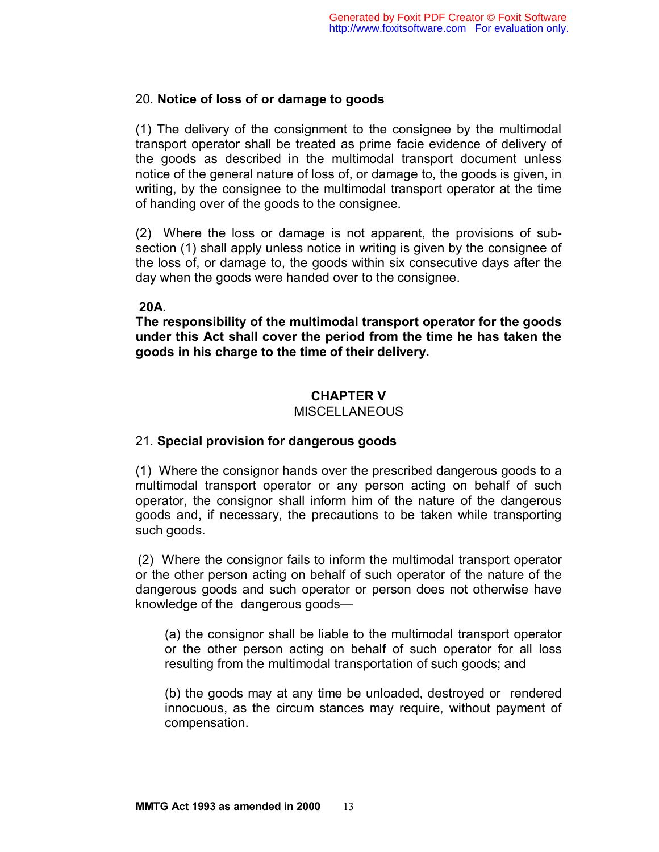# 20. **Notice of loss of or damage to goods**

(1) The delivery of the consignment to the consignee by the multimodal transport operator shall be treated as prime facie evidence of delivery of the goods as described in the multimodal transport document unless notice of the general nature of loss of, or damage to, the goods is given, in writing, by the consignee to the multimodal transport operator at the time of handing over of the goods to the consignee.

(2) Where the loss or damage is not apparent, the provisions of subsection (1) shall apply unless notice in writing is given by the consignee of the loss of, or damage to, the goods within six consecutive days after the day when the goods were handed over to the consignee.

# **20A.**

**The responsibility of the multimodal transport operator for the goods under this Act shall cover the period from the time he has taken the goods in his charge to the time of their delivery.** 

# **CHAPTER V**

#### MISCELLANEOUS

## 21. **Special provision for dangerous goods**

(1) Where the consignor hands over the prescribed dangerous goods to a multimodal transport operator or any person acting on behalf of such operator, the consignor shall inform him of the nature of the dangerous goods and, if necessary, the precautions to be taken while transporting such goods.

 (2) Where the consignor fails to inform the multimodal transport operator or the other person acting on behalf of such operator of the nature of the dangerous goods and such operator or person does not otherwise have knowledge of the dangerous goods—

(a) the consignor shall be liable to the multimodal transport operator or the other person acting on behalf of such operator for all loss resulting from the multimodal transportation of such goods; and

(b) the goods may at any time be unloaded, destroyed or rendered innocuous, as the circum stances may require, without payment of compensation.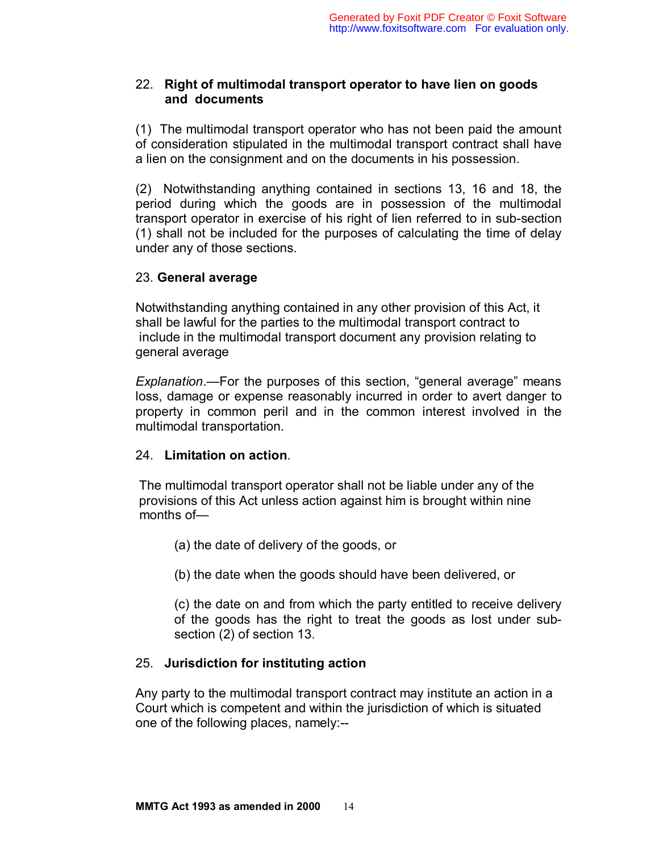# 22. **Right of multimodal transport operator to have lien on goods and documents**

(1) The multimodal transport operator who has not been paid the amount of consideration stipulated in the multimodal transport contract shall have a lien on the consignment and on the documents in his possession.

(2) Notwithstanding anything contained in sections 13, 16 and 18, the period during which the goods are in possession of the multimodal transport operator in exercise of his right of lien referred to in sub-section (1) shall not be included for the purposes of calculating the time of delay under any of those sections.

# 23. **General average**

Notwithstanding anything contained in any other provision of this Act, it shall be lawful for the parties to the multimodal transport contract to include in the multimodal transport document any provision relating to general average

*Explanation*.—For the purposes of this section, "general average" means loss, damage or expense reasonably incurred in order to avert danger to property in common peril and in the common interest involved in the multimodal transportation.

# 24. **Limitation on action**.

 The multimodal transport operator shall not be liable under any of the provisions of this Act unless action against him is brought within nine months of—

- (a) the date of delivery of the goods, or
- (b) the date when the goods should have been delivered, or

(c) the date on and from which the party entitled to receive delivery of the goods has the right to treat the goods as lost under subsection (2) of section 13.

# 25. **Jurisdiction for instituting action**

Any party to the multimodal transport contract may institute an action in a Court which is competent and within the jurisdiction of which is situated one of the following places, namely:--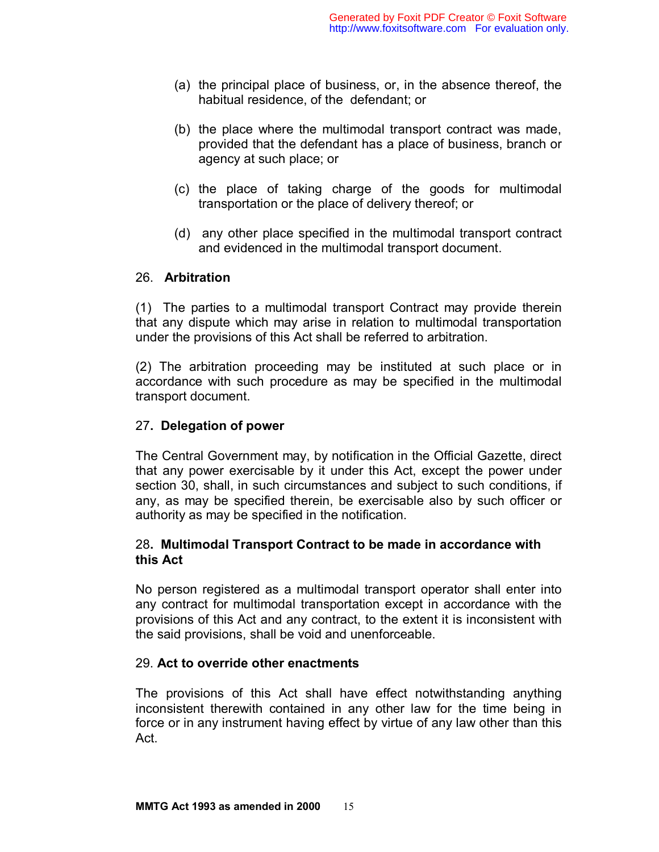- (a) the principal place of business, or, in the absence thereof, the habitual residence, of the defendant; or
- (b) the place where the multimodal transport contract was made, provided that the defendant has a place of business, branch or agency at such place; or
- (c) the place of taking charge of the goods for multimodal transportation or the place of delivery thereof; or
- (d) any other place specified in the multimodal transport contract and evidenced in the multimodal transport document.

## 26. **Arbitration**

(1) The parties to a multimodal transport Contract may provide therein that any dispute which may arise in relation to multimodal transportation under the provisions of this Act shall be referred to arbitration.

(2) The arbitration proceeding may be instituted at such place or in accordance with such procedure as may be specified in the multimodal transport document.

# 27**. Delegation of power**

The Central Government may, by notification in the Official Gazette, direct that any power exercisable by it under this Act, except the power under section 30, shall, in such circumstances and subject to such conditions, if any, as may be specified therein, be exercisable also by such officer or authority as may be specified in the notification.

# 28**. Multimodal Transport Contract to be made in accordance with this Act**

No person registered as a multimodal transport operator shall enter into any contract for multimodal transportation except in accordance with the provisions of this Act and any contract, to the extent it is inconsistent with the said provisions, shall be void and unenforceable.

## 29. **Act to override other enactments**

The provisions of this Act shall have effect notwithstanding anything inconsistent therewith contained in any other law for the time being in force or in any instrument having effect by virtue of any law other than this Act.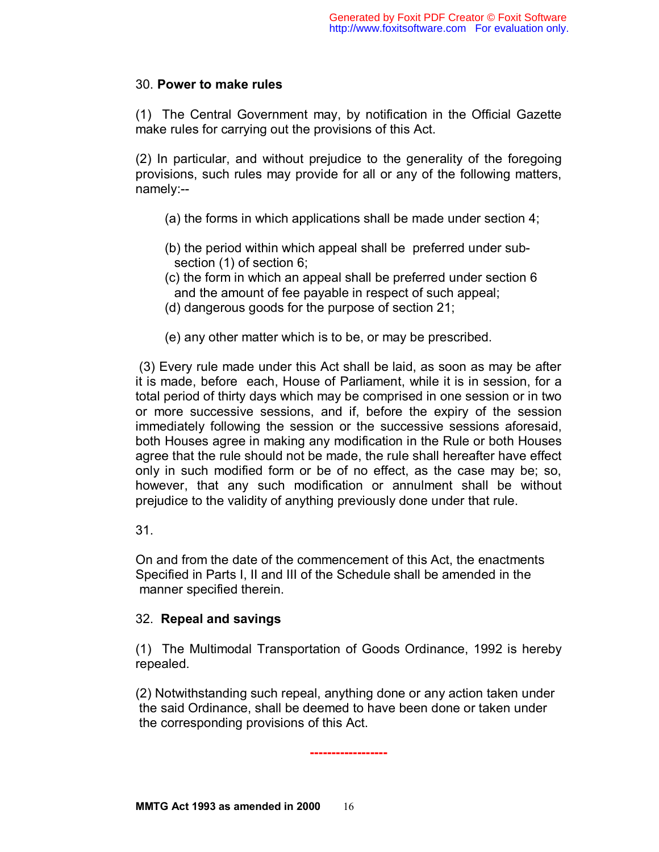## 30. **Power to make rules**

(1) The Central Government may, by notification in the Official Gazette make rules for carrying out the provisions of this Act.

(2) In particular, and without prejudice to the generality of the foregoing provisions, such rules may provide for all or any of the following matters, namely:--

- (a) the forms in which applications shall be made under section 4;
- (b) the period within which appeal shall be preferred under subsection (1) of section 6;
- (c) the form in which an appeal shall be preferred under section 6 and the amount of fee payable in respect of such appeal;
- (d) dangerous goods for the purpose of section 21;
- (e) any other matter which is to be, or may be prescribed.

 (3) Every rule made under this Act shall be laid, as soon as may be after it is made, before each, House of Parliament, while it is in session, for a total period of thirty days which may be comprised in one session or in two or more successive sessions, and if, before the expiry of the session immediately following the session or the successive sessions aforesaid, both Houses agree in making any modification in the Rule or both Houses agree that the rule should not be made, the rule shall hereafter have effect only in such modified form or be of no effect, as the case may be; so, however, that any such modification or annulment shall be without prejudice to the validity of anything previously done under that rule.

31.

On and from the date of the commencement of this Act, the enactments Specified in Parts I, II and III of the Schedule shall be amended in the manner specified therein.

## 32. **Repeal and savings**

(1) The Multimodal Transportation of Goods Ordinance, 1992 is hereby repealed.

(2) Notwithstanding such repeal, anything done or any action taken under the said Ordinance, shall be deemed to have been done or taken under the corresponding provisions of this Act.

**------------------**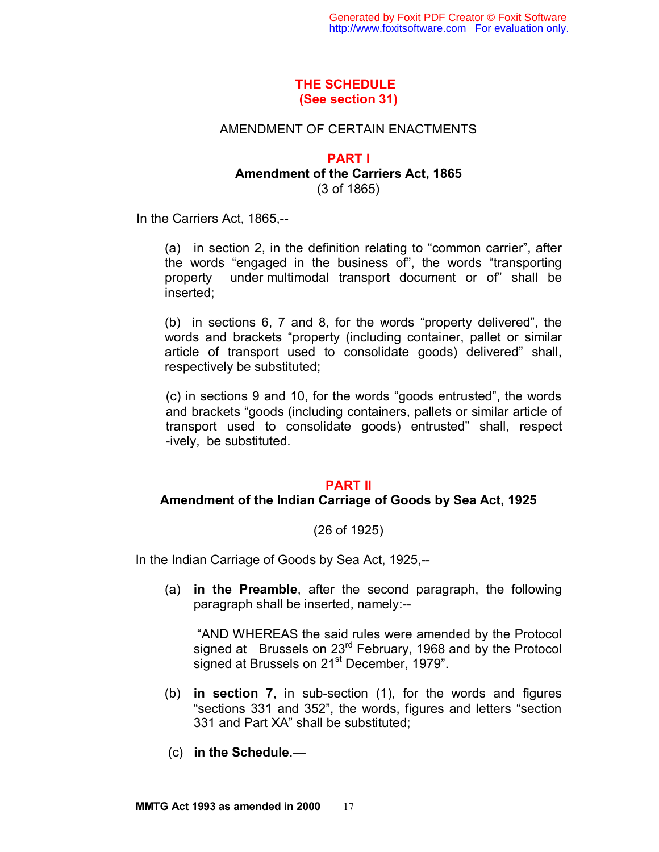# **THE SCHEDULE (See section 31)**

### AMENDMENT OF CERTAIN ENACTMENTS

### **PART I Amendment of the Carriers Act, 1865**  (3 of 1865)

In the Carriers Act, 1865,--

(a) in section 2, in the definition relating to "common carrier", after the words "engaged in the business of", the words "transporting property under multimodal transport document or of" shall be inserted;

(b) in sections 6, 7 and 8, for the words "property delivered", the words and brackets "property (including container, pallet or similar article of transport used to consolidate goods) delivered" shall, respectively be substituted;

(c) in sections 9 and 10, for the words "goods entrusted", the words and brackets "goods (including containers, pallets or similar article of transport used to consolidate goods) entrusted" shall, respect -ively, be substituted.

#### **PART II**

#### **Amendment of the Indian Carriage of Goods by Sea Act, 1925**

#### (26 of 1925)

In the Indian Carriage of Goods by Sea Act, 1925,--

(a) **in the Preamble**, after the second paragraph, the following paragraph shall be inserted, namely:--

 "AND WHEREAS the said rules were amended by the Protocol signed at Brussels on 23<sup>rd</sup> February, 1968 and by the Protocol signed at Brussels on 21<sup>st</sup> December, 1979".

- (b) **in section 7**, in sub-section (1), for the words and figures "sections 331 and 352", the words, figures and letters "section 331 and Part XA" shall be substituted;
- (c) **in the Schedule**.—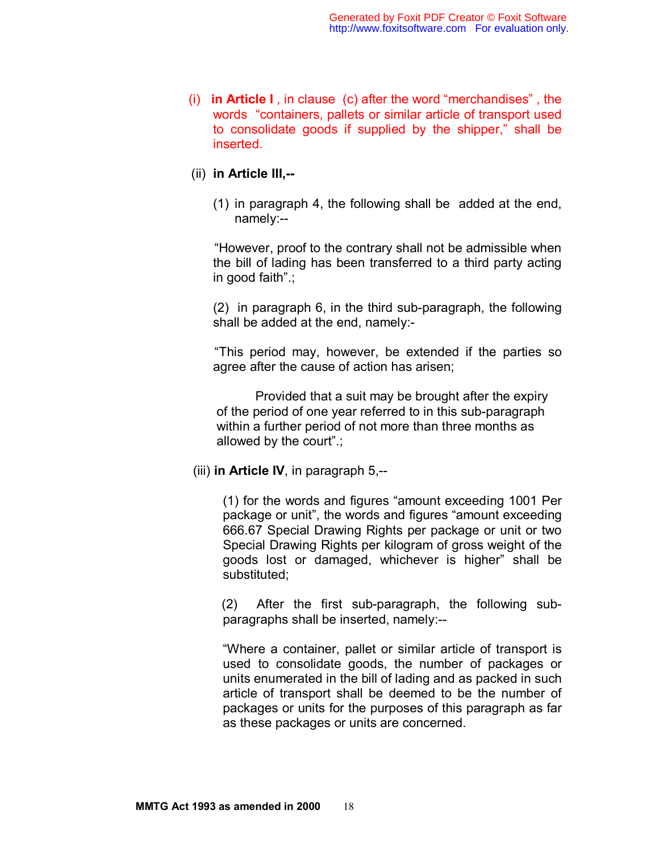(i) **in Article I** , in clause (c) after the word "merchandises" , the words "containers, pallets or similar article of transport used to consolidate goods if supplied by the shipper," shall be inserted.

## (ii) **in Article III,--**

(1) in paragraph 4, the following shall be added at the end, namely:--

 "However, proof to the contrary shall not be admissible when the bill of lading has been transferred to a third party acting in good faith".;

(2) in paragraph 6, in the third sub-paragraph, the following shall be added at the end, namely:-

 "This period may, however, be extended if the parties so agree after the cause of action has arisen;

 Provided that a suit may be brought after the expiry of the period of one year referred to in this sub-paragraph within a further period of not more than three months as allowed by the court".;

(iii) **in Article IV**, in paragraph 5,--

 (1) for the words and figures "amount exceeding 1001 Per package or unit", the words and figures "amount exceeding 666.67 Special Drawing Rights per package or unit or two Special Drawing Rights per kilogram of gross weight of the goods lost or damaged, whichever is higher" shall be substituted;

 (2) After the first sub-paragraph, the following subparagraphs shall be inserted, namely:--

 "Where a container, pallet or similar article of transport is used to consolidate goods, the number of packages or units enumerated in the bill of lading and as packed in such article of transport shall be deemed to be the number of packages or units for the purposes of this paragraph as far as these packages or units are concerned.